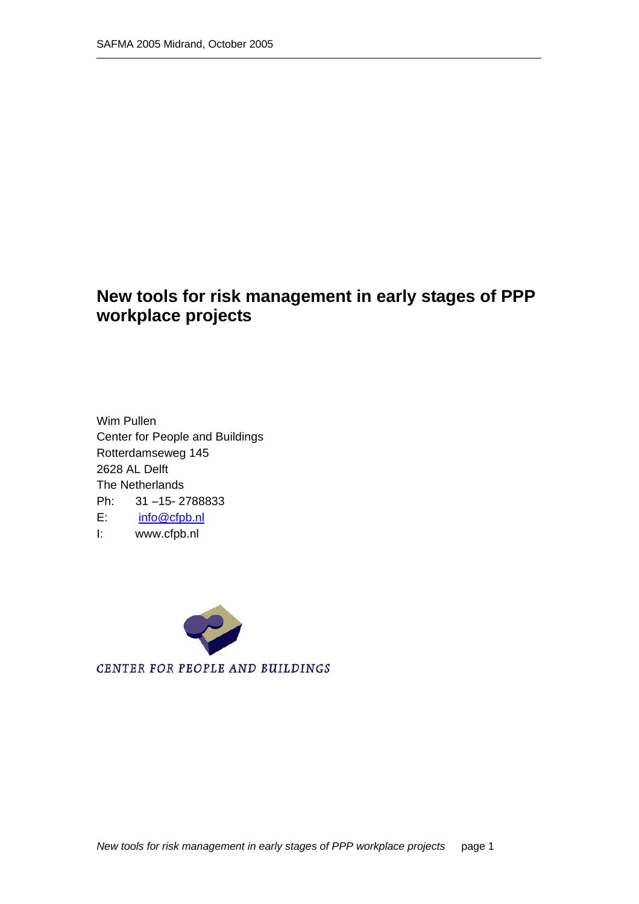### **New tools for risk management in early stages of PPP workplace projects**

Wim Pullen Center for People and Buildings Rotterdamseweg 145 2628 AL Delft The Netherlands Ph: 31 –15- 2788833 E: info@cfpb.nl I: www.cfpb.nl



CENTER FOR PEOPLE AND BUILDINGS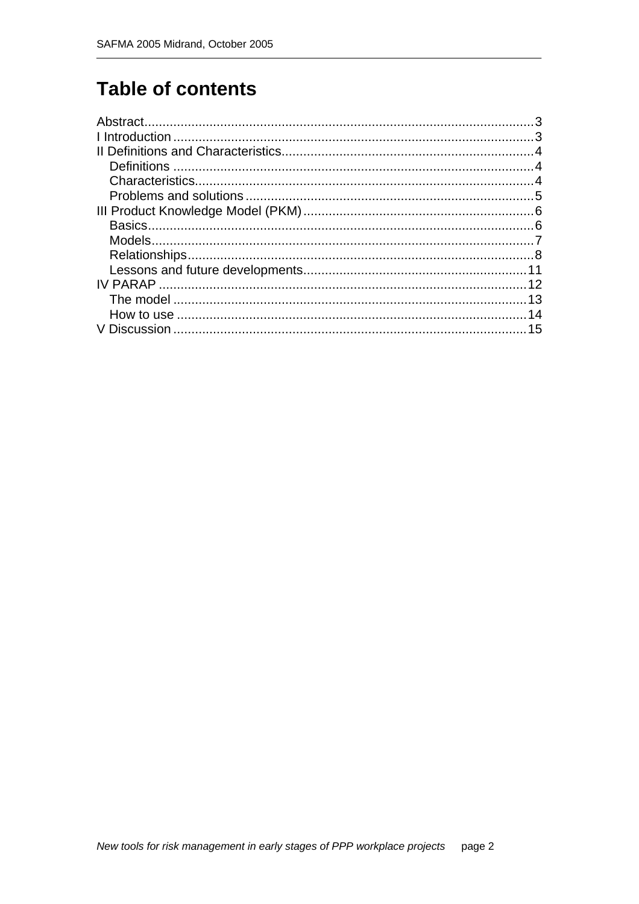# **Table of contents**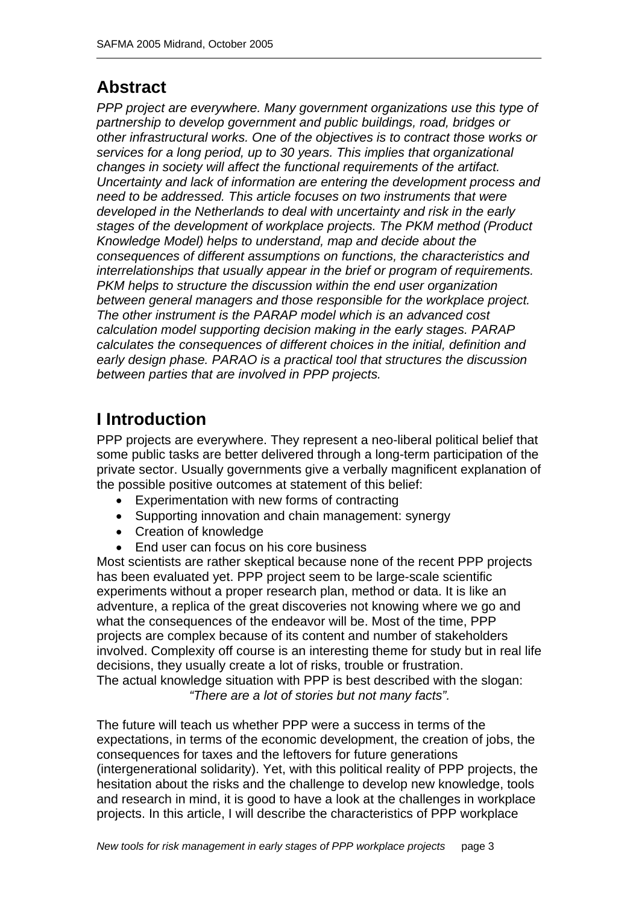### **Abstract**

*PPP project are everywhere. Many government organizations use this type of partnership to develop government and public buildings, road, bridges or other infrastructural works. One of the objectives is to contract those works or services for a long period, up to 30 years. This implies that organizational changes in society will affect the functional requirements of the artifact. Uncertainty and lack of information are entering the development process and need to be addressed. This article focuses on two instruments that were developed in the Netherlands to deal with uncertainty and risk in the early stages of the development of workplace projects. The PKM method (Product Knowledge Model) helps to understand, map and decide about the consequences of different assumptions on functions, the characteristics and interrelationships that usually appear in the brief or program of requirements. PKM helps to structure the discussion within the end user organization between general managers and those responsible for the workplace project. The other instrument is the PARAP model which is an advanced cost calculation model supporting decision making in the early stages. PARAP calculates the consequences of different choices in the initial, definition and early design phase. PARAO is a practical tool that structures the discussion between parties that are involved in PPP projects.* 

# **I Introduction**

PPP projects are everywhere. They represent a neo-liberal political belief that some public tasks are better delivered through a long-term participation of the private sector. Usually governments give a verbally magnificent explanation of the possible positive outcomes at statement of this belief:

- Experimentation with new forms of contracting
- Supporting innovation and chain management: synergy
- Creation of knowledge
- End user can focus on his core business

Most scientists are rather skeptical because none of the recent PPP projects has been evaluated yet. PPP project seem to be large-scale scientific experiments without a proper research plan, method or data. It is like an adventure, a replica of the great discoveries not knowing where we go and what the consequences of the endeavor will be. Most of the time, PPP projects are complex because of its content and number of stakeholders involved. Complexity off course is an interesting theme for study but in real life decisions, they usually create a lot of risks, trouble or frustration. The actual knowledge situation with PPP is best described with the slogan: *"There are a lot of stories but not many facts".* 

The future will teach us whether PPP were a success in terms of the expectations, in terms of the economic development, the creation of jobs, the consequences for taxes and the leftovers for future generations (intergenerational solidarity). Yet, with this political reality of PPP projects, the hesitation about the risks and the challenge to develop new knowledge, tools and research in mind, it is good to have a look at the challenges in workplace projects. In this article, I will describe the characteristics of PPP workplace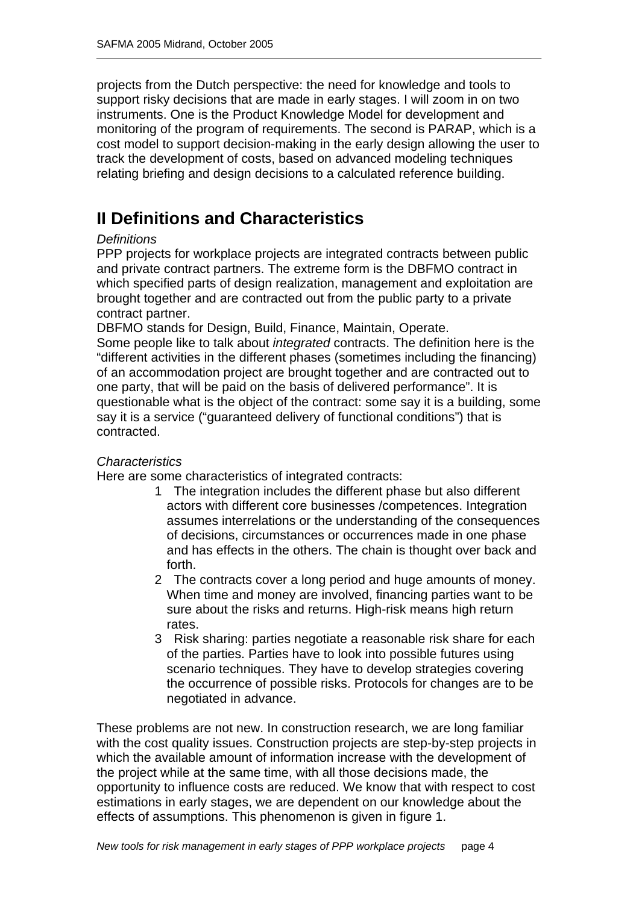projects from the Dutch perspective: the need for knowledge and tools to support risky decisions that are made in early stages. I will zoom in on two instruments. One is the Product Knowledge Model for development and monitoring of the program of requirements. The second is PARAP, which is a cost model to support decision-making in the early design allowing the user to track the development of costs, based on advanced modeling techniques relating briefing and design decisions to a calculated reference building.

### **II Definitions and Characteristics**

### *Definitions*

PPP projects for workplace projects are integrated contracts between public and private contract partners. The extreme form is the DBFMO contract in which specified parts of design realization, management and exploitation are brought together and are contracted out from the public party to a private contract partner.

DBFMO stands for Design, Build, Finance, Maintain, Operate.

Some people like to talk about *integrated* contracts. The definition here is the "different activities in the different phases (sometimes including the financing) of an accommodation project are brought together and are contracted out to one party, that will be paid on the basis of delivered performance". It is questionable what is the object of the contract: some say it is a building, some say it is a service ("guaranteed delivery of functional conditions") that is contracted.

### *Characteristics*

Here are some characteristics of integrated contracts:

- 1 The integration includes the different phase but also different actors with different core businesses /competences. Integration assumes interrelations or the understanding of the consequences of decisions, circumstances or occurrences made in one phase and has effects in the others. The chain is thought over back and forth.
- 2 The contracts cover a long period and huge amounts of money. When time and money are involved, financing parties want to be sure about the risks and returns. High-risk means high return rates.
- 3 Risk sharing: parties negotiate a reasonable risk share for each of the parties. Parties have to look into possible futures using scenario techniques. They have to develop strategies covering the occurrence of possible risks. Protocols for changes are to be negotiated in advance.

These problems are not new. In construction research, we are long familiar with the cost quality issues. Construction projects are step-by-step projects in which the available amount of information increase with the development of the project while at the same time, with all those decisions made, the opportunity to influence costs are reduced. We know that with respect to cost estimations in early stages, we are dependent on our knowledge about the effects of assumptions. This phenomenon is given in figure 1.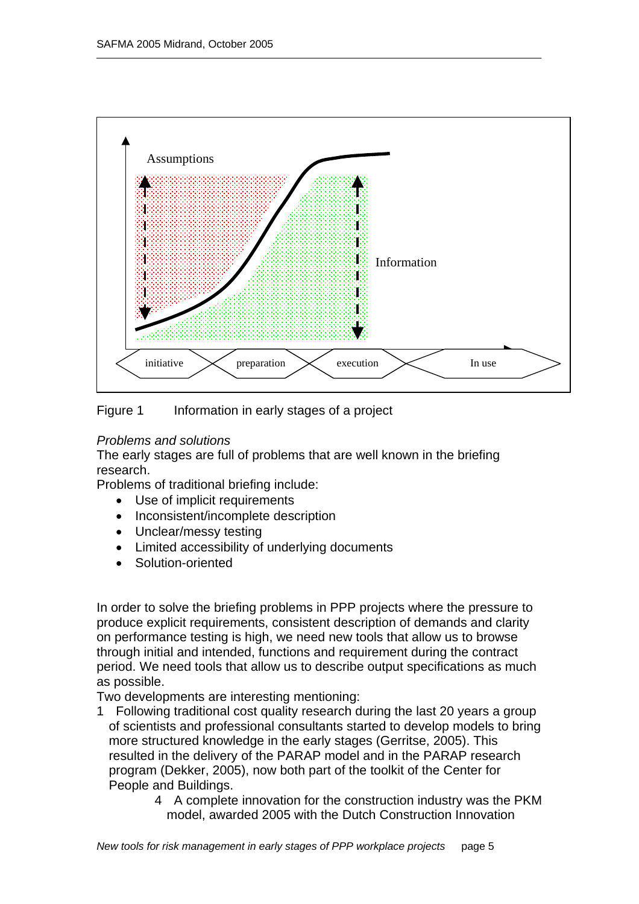



### *Problems and solutions*

The early stages are full of problems that are well known in the briefing research.

Problems of traditional briefing include:

- Use of implicit requirements
- Inconsistent/incomplete description
- Unclear/messy testing
- Limited accessibility of underlying documents
- Solution-oriented

In order to solve the briefing problems in PPP projects where the pressure to produce explicit requirements, consistent description of demands and clarity on performance testing is high, we need new tools that allow us to browse through initial and intended, functions and requirement during the contract period. We need tools that allow us to describe output specifications as much as possible.

Two developments are interesting mentioning:

- 1 Following traditional cost quality research during the last 20 years a group of scientists and professional consultants started to develop models to bring more structured knowledge in the early stages (Gerritse, 2005). This resulted in the delivery of the PARAP model and in the PARAP research program (Dekker, 2005), now both part of the toolkit of the Center for People and Buildings.
	- 4 A complete innovation for the construction industry was the PKM model, awarded 2005 with the Dutch Construction Innovation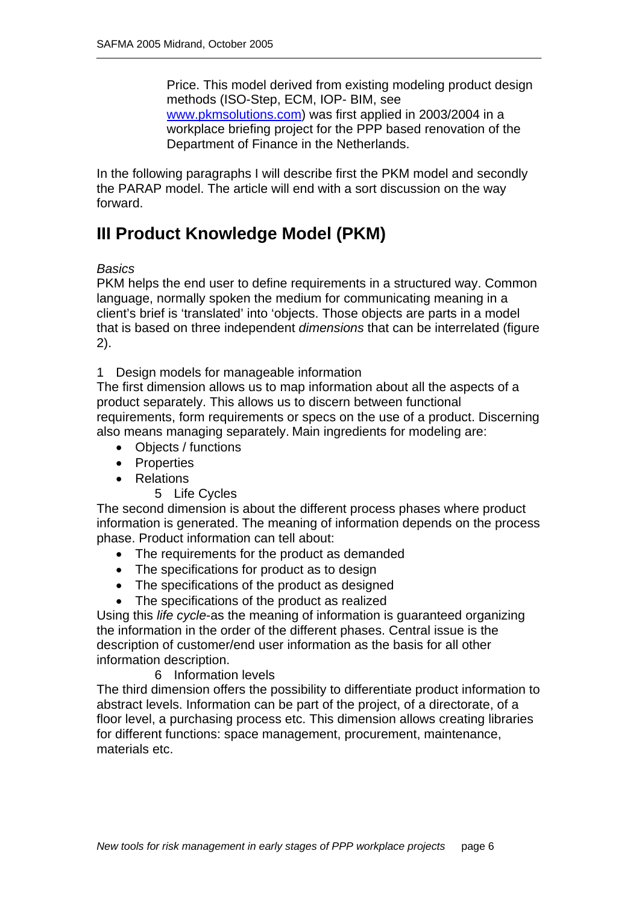Price. This model derived from existing modeling product design methods (ISO-Step, ECM, IOP- BIM, see www.pkmsolutions.com) was first applied in 2003/2004 in a workplace briefing project for the PPP based renovation of the Department of Finance in the Netherlands.

In the following paragraphs I will describe first the PKM model and secondly the PARAP model. The article will end with a sort discussion on the way forward.

# **III Product Knowledge Model (PKM)**

*Basics* 

PKM helps the end user to define requirements in a structured way. Common language, normally spoken the medium for communicating meaning in a client's brief is 'translated' into 'objects. Those objects are parts in a model that is based on three independent *dimensions* that can be interrelated (figure 2).

1 Design models for manageable information

The first dimension allows us to map information about all the aspects of a product separately. This allows us to discern between functional requirements, form requirements or specs on the use of a product. Discerning also means managing separately. Main ingredients for modeling are:

- Objects / functions
- Properties
- Relations
	- 5 Life Cycles

The second dimension is about the different process phases where product information is generated. The meaning of information depends on the process phase. Product information can tell about:

- The requirements for the product as demanded
- The specifications for product as to design
- The specifications of the product as designed
- The specifications of the product as realized

Using this *life cycle*-as the meaning of information is guaranteed organizing the information in the order of the different phases. Central issue is the description of customer/end user information as the basis for all other information description.

### 6 Information levels

The third dimension offers the possibility to differentiate product information to abstract levels. Information can be part of the project, of a directorate, of a floor level, a purchasing process etc. This dimension allows creating libraries for different functions: space management, procurement, maintenance, materials etc.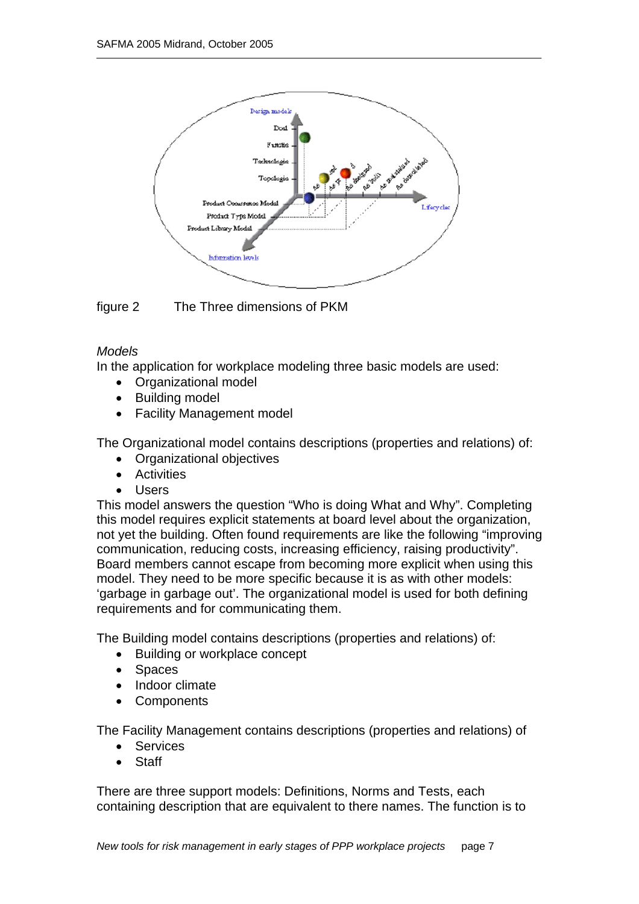

figure 2 The Three dimensions of PKM

### *Models*

In the application for workplace modeling three basic models are used:

- Organizational model
- Building model
- Facility Management model

The Organizational model contains descriptions (properties and relations) of:

- Organizational objectives
- Activities
- Users

This model answers the question "Who is doing What and Why". Completing this model requires explicit statements at board level about the organization, not yet the building. Often found requirements are like the following "improving communication, reducing costs, increasing efficiency, raising productivity". Board members cannot escape from becoming more explicit when using this model. They need to be more specific because it is as with other models: 'garbage in garbage out'. The organizational model is used for both defining requirements and for communicating them.

The Building model contains descriptions (properties and relations) of:

- Building or workplace concept
- Spaces
- Indoor climate
- **Components**

The Facility Management contains descriptions (properties and relations) of

- Services
- **Staff**

There are three support models: Definitions, Norms and Tests, each containing description that are equivalent to there names. The function is to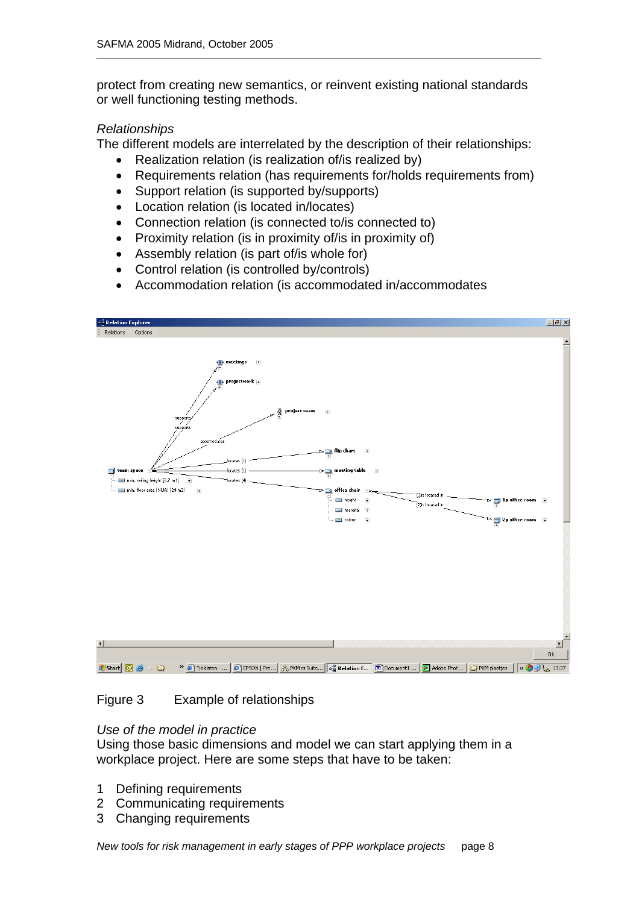protect from creating new semantics, or reinvent existing national standards or well functioning testing methods.

#### *Relationships*

The different models are interrelated by the description of their relationships:

- Realization relation (is realization of/is realized by)
- Requirements relation (has requirements for/holds requirements from)
- Support relation (is supported by/supports)
- Location relation (is located in/locates)
- Connection relation (is connected to/is connected to)
- Proximity relation (is in proximity of/is in proximity of)
- Assembly relation (is part of/is whole for)
- Control relation (is controlled by/controls)
- Accommodation relation (is accommodated in/accommodates



### Figure 3 Example of relationships

#### *Use of the model in practice*

Using those basic dimensions and model we can start applying them in a workplace project. Here are some steps that have to be taken:

- 1 Defining requirements
- 2 Communicating requirements
- 3 Changing requirements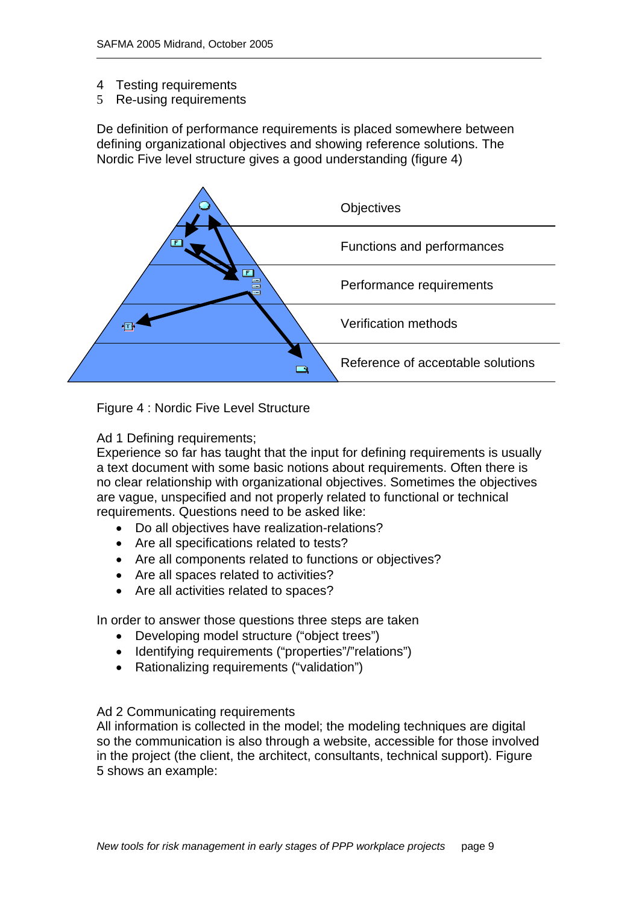- 4 Testing requirements
- 5 Re-using requirements

De definition of performance requirements is placed somewhere between defining organizational objectives and showing reference solutions. The Nordic Five level structure gives a good understanding (figure 4)



Figure 4 : Nordic Five Level Structure

Ad 1 Defining requirements;

Experience so far has taught that the input for defining requirements is usually a text document with some basic notions about requirements. Often there is no clear relationship with organizational objectives. Sometimes the objectives are vague, unspecified and not properly related to functional or technical requirements. Questions need to be asked like:

- Do all objectives have realization-relations?
- Are all specifications related to tests?
- Are all components related to functions or objectives?
- Are all spaces related to activities?
- Are all activities related to spaces?

In order to answer those questions three steps are taken

- Developing model structure ("object trees")
- Identifying requirements ("properties"/"relations")
- Rationalizing requirements ("validation")

### Ad 2 Communicating requirements

All information is collected in the model; the modeling techniques are digital so the communication is also through a website, accessible for those involved in the project (the client, the architect, consultants, technical support). Figure 5 shows an example: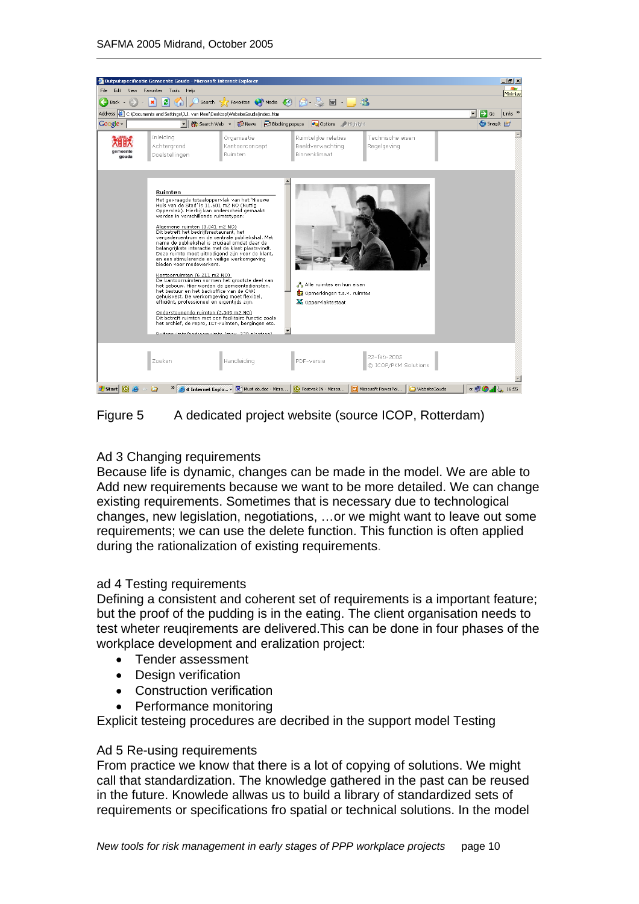

Figure 5 A dedicated project website (source ICOP, Rotterdam)

### Ad 3 Changing requirements

Because life is dynamic, changes can be made in the model. We are able to Add new requirements because we want to be more detailed. We can change existing requirements. Sometimes that is necessary due to technological changes, new legislation, negotiations, …or we might want to leave out some requirements; we can use the delete function. This function is often applied during the rationalization of existing requirements.

### ad 4 Testing requirements

Defining a consistent and coherent set of requirements is a important feature; but the proof of the pudding is in the eating. The client organisation needs to test wheter reuqirements are delivered.This can be done in four phases of the workplace development and eralization project:

- Tender assessment
- Design verification
- Construction verification
- Performance monitoring

Explicit testeing procedures are decribed in the support model Testing

#### Ad 5 Re-using requirements

From practice we know that there is a lot of copying of solutions. We might call that standardization. The knowledge gathered in the past can be reused in the future. Knowlede allwas us to build a library of standardized sets of requirements or specifications fro spatial or technical solutions. In the model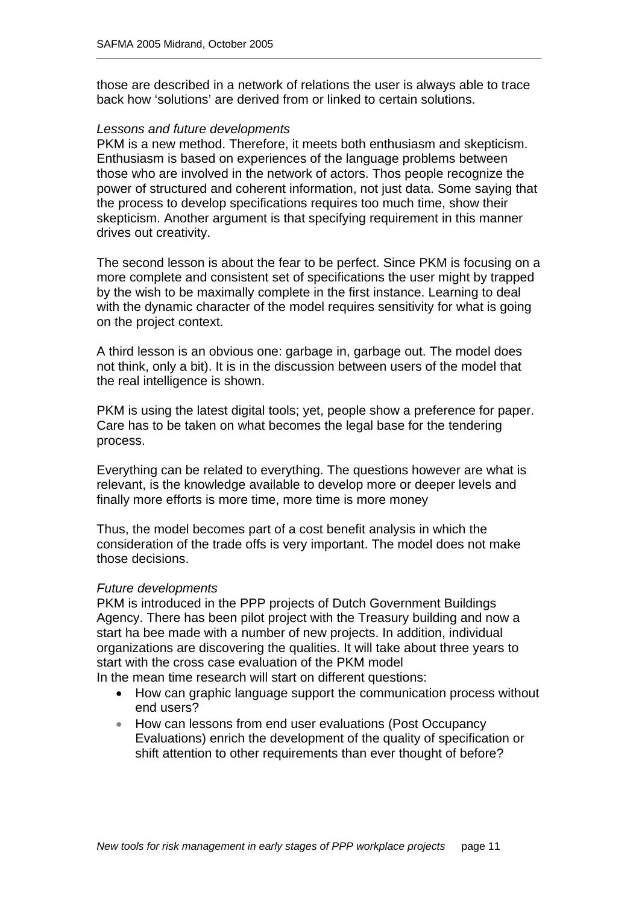those are described in a network of relations the user is always able to trace back how 'solutions' are derived from or linked to certain solutions.

#### *Lessons and future developments*

PKM is a new method. Therefore, it meets both enthusiasm and skepticism. Enthusiasm is based on experiences of the language problems between those who are involved in the network of actors. Thos people recognize the power of structured and coherent information, not just data. Some saying that the process to develop specifications requires too much time, show their skepticism. Another argument is that specifying requirement in this manner drives out creativity.

The second lesson is about the fear to be perfect. Since PKM is focusing on a more complete and consistent set of specifications the user might by trapped by the wish to be maximally complete in the first instance. Learning to deal with the dynamic character of the model requires sensitivity for what is going on the project context.

A third lesson is an obvious one: garbage in, garbage out. The model does not think, only a bit). It is in the discussion between users of the model that the real intelligence is shown.

PKM is using the latest digital tools; yet, people show a preference for paper. Care has to be taken on what becomes the legal base for the tendering process.

Everything can be related to everything. The questions however are what is relevant, is the knowledge available to develop more or deeper levels and finally more efforts is more time, more time is more money

Thus, the model becomes part of a cost benefit analysis in which the consideration of the trade offs is very important. The model does not make those decisions.

#### *Future developments*

PKM is introduced in the PPP projects of Dutch Government Buildings Agency. There has been pilot project with the Treasury building and now a start ha bee made with a number of new projects. In addition, individual organizations are discovering the qualities. It will take about three years to start with the cross case evaluation of the PKM model

In the mean time research will start on different questions:

- How can graphic language support the communication process without end users?
- How can lessons from end user evaluations (Post Occupancy Evaluations) enrich the development of the quality of specification or shift attention to other requirements than ever thought of before?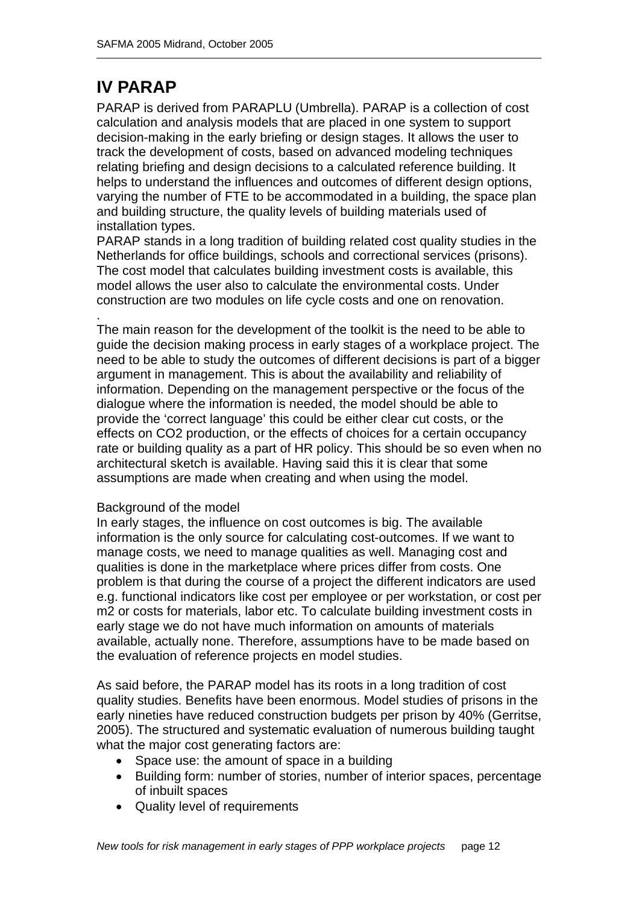# **IV PARAP**

PARAP is derived from PARAPLU (Umbrella). PARAP is a collection of cost calculation and analysis models that are placed in one system to support decision-making in the early briefing or design stages. It allows the user to track the development of costs, based on advanced modeling techniques relating briefing and design decisions to a calculated reference building. It helps to understand the influences and outcomes of different design options, varying the number of FTE to be accommodated in a building, the space plan and building structure, the quality levels of building materials used of installation types.

PARAP stands in a long tradition of building related cost quality studies in the Netherlands for office buildings, schools and correctional services (prisons). The cost model that calculates building investment costs is available, this model allows the user also to calculate the environmental costs. Under construction are two modules on life cycle costs and one on renovation.

. The main reason for the development of the toolkit is the need to be able to guide the decision making process in early stages of a workplace project. The need to be able to study the outcomes of different decisions is part of a bigger argument in management. This is about the availability and reliability of information. Depending on the management perspective or the focus of the dialogue where the information is needed, the model should be able to provide the 'correct language' this could be either clear cut costs, or the effects on CO2 production, or the effects of choices for a certain occupancy rate or building quality as a part of HR policy. This should be so even when no architectural sketch is available. Having said this it is clear that some assumptions are made when creating and when using the model.

### Background of the model

In early stages, the influence on cost outcomes is big. The available information is the only source for calculating cost-outcomes. If we want to manage costs, we need to manage qualities as well. Managing cost and qualities is done in the marketplace where prices differ from costs. One problem is that during the course of a project the different indicators are used e.g. functional indicators like cost per employee or per workstation, or cost per m2 or costs for materials, labor etc. To calculate building investment costs in early stage we do not have much information on amounts of materials available, actually none. Therefore, assumptions have to be made based on the evaluation of reference projects en model studies.

As said before, the PARAP model has its roots in a long tradition of cost quality studies. Benefits have been enormous. Model studies of prisons in the early nineties have reduced construction budgets per prison by 40% (Gerritse, 2005). The structured and systematic evaluation of numerous building taught what the major cost generating factors are:

- Space use: the amount of space in a building
- Building form: number of stories, number of interior spaces, percentage of inbuilt spaces
- Quality level of requirements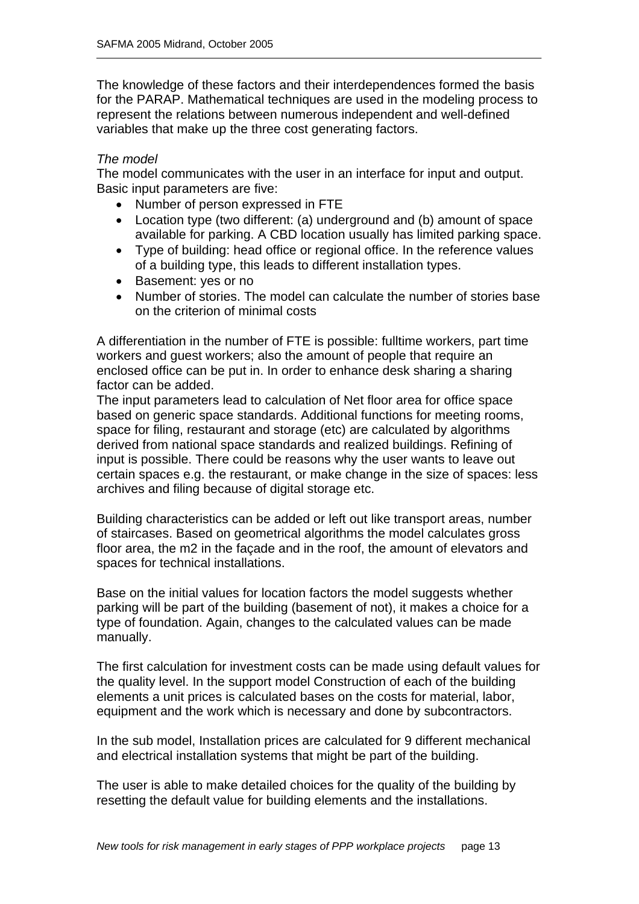The knowledge of these factors and their interdependences formed the basis for the PARAP. Mathematical techniques are used in the modeling process to represent the relations between numerous independent and well-defined variables that make up the three cost generating factors.

#### *The model*

The model communicates with the user in an interface for input and output. Basic input parameters are five:

- Number of person expressed in FTE
- Location type (two different: (a) underground and (b) amount of space available for parking. A CBD location usually has limited parking space.
- Type of building: head office or regional office. In the reference values of a building type, this leads to different installation types.
- Basement: yes or no
- Number of stories. The model can calculate the number of stories base on the criterion of minimal costs

A differentiation in the number of FTE is possible: fulltime workers, part time workers and guest workers; also the amount of people that require an enclosed office can be put in. In order to enhance desk sharing a sharing factor can be added.

The input parameters lead to calculation of Net floor area for office space based on generic space standards. Additional functions for meeting rooms, space for filing, restaurant and storage (etc) are calculated by algorithms derived from national space standards and realized buildings. Refining of input is possible. There could be reasons why the user wants to leave out certain spaces e.g. the restaurant, or make change in the size of spaces: less archives and filing because of digital storage etc.

Building characteristics can be added or left out like transport areas, number of staircases. Based on geometrical algorithms the model calculates gross floor area, the m2 in the façade and in the roof, the amount of elevators and spaces for technical installations.

Base on the initial values for location factors the model suggests whether parking will be part of the building (basement of not), it makes a choice for a type of foundation. Again, changes to the calculated values can be made manually.

The first calculation for investment costs can be made using default values for the quality level. In the support model Construction of each of the building elements a unit prices is calculated bases on the costs for material, labor, equipment and the work which is necessary and done by subcontractors.

In the sub model, Installation prices are calculated for 9 different mechanical and electrical installation systems that might be part of the building.

The user is able to make detailed choices for the quality of the building by resetting the default value for building elements and the installations.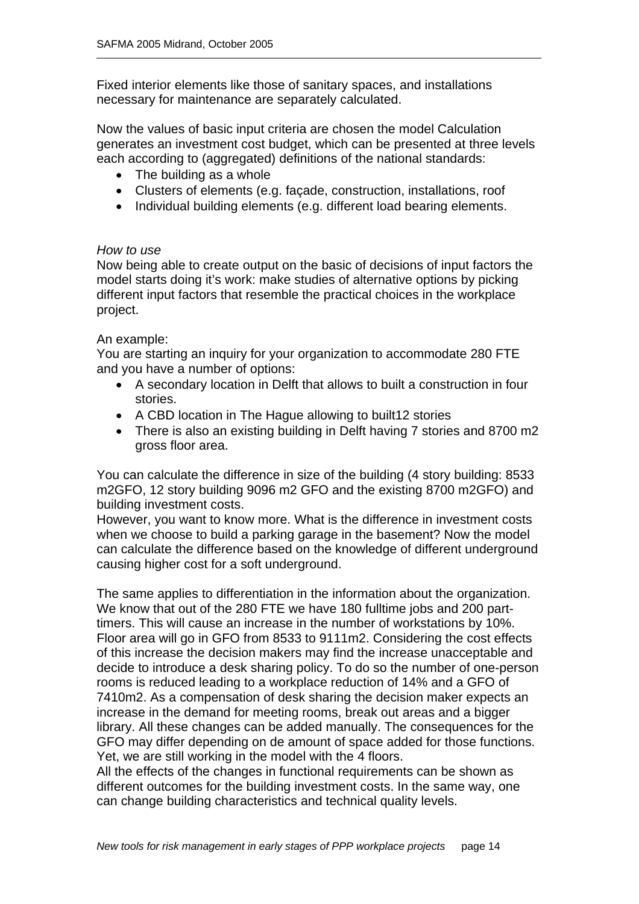Fixed interior elements like those of sanitary spaces, and installations necessary for maintenance are separately calculated.

Now the values of basic input criteria are chosen the model Calculation generates an investment cost budget, which can be presented at three levels each according to (aggregated) definitions of the national standards:

- The building as a whole
- Clusters of elements (e.g. façade, construction, installations, roof
- Individual building elements (e.g. different load bearing elements.

#### *How to use*

Now being able to create output on the basic of decisions of input factors the model starts doing it's work: make studies of alternative options by picking different input factors that resemble the practical choices in the workplace project.

#### An example:

You are starting an inquiry for your organization to accommodate 280 FTE and you have a number of options:

- A secondary location in Delft that allows to built a construction in four stories.
- A CBD location in The Hague allowing to built12 stories
- There is also an existing building in Delft having 7 stories and 8700 m2 gross floor area.

You can calculate the difference in size of the building (4 story building: 8533 m2GFO, 12 story building 9096 m2 GFO and the existing 8700 m2GFO) and building investment costs.

However, you want to know more. What is the difference in investment costs when we choose to build a parking garage in the basement? Now the model can calculate the difference based on the knowledge of different underground causing higher cost for a soft underground.

The same applies to differentiation in the information about the organization. We know that out of the 280 FTE we have 180 fulltime jobs and 200 parttimers. This will cause an increase in the number of workstations by 10%. Floor area will go in GFO from 8533 to 9111m2. Considering the cost effects of this increase the decision makers may find the increase unacceptable and decide to introduce a desk sharing policy. To do so the number of one-person rooms is reduced leading to a workplace reduction of 14% and a GFO of 7410m2. As a compensation of desk sharing the decision maker expects an increase in the demand for meeting rooms, break out areas and a bigger library. All these changes can be added manually. The consequences for the GFO may differ depending on de amount of space added for those functions. Yet, we are still working in the model with the 4 floors.

All the effects of the changes in functional requirements can be shown as different outcomes for the building investment costs. In the same way, one can change building characteristics and technical quality levels.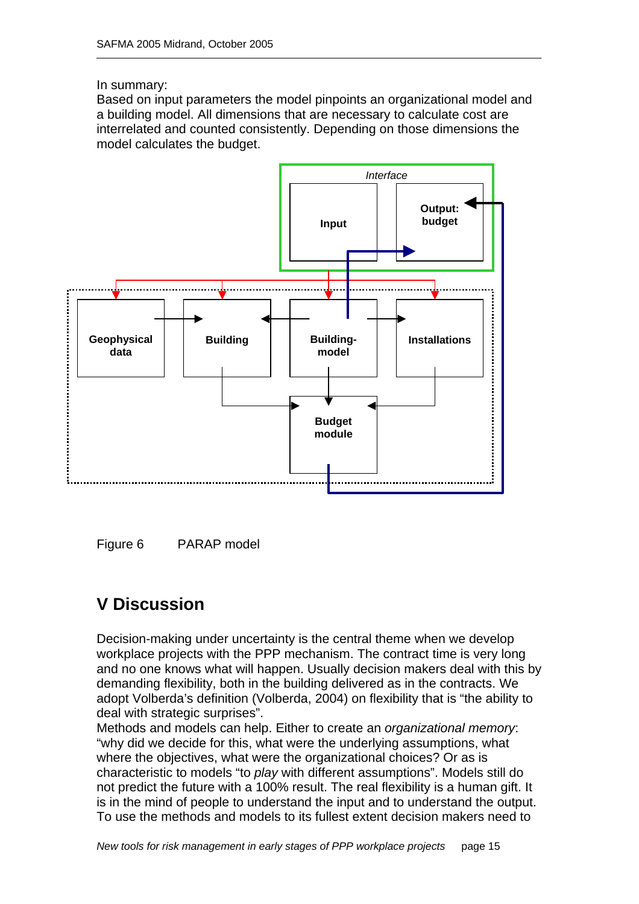#### In summary:

Based on input parameters the model pinpoints an organizational model and a building model. All dimensions that are necessary to calculate cost are interrelated and counted consistently. Depending on those dimensions the model calculates the budget.



Figure 6 PARAP model

# **V Discussion**

Decision-making under uncertainty is the central theme when we develop workplace projects with the PPP mechanism. The contract time is very long and no one knows what will happen. Usually decision makers deal with this by demanding flexibility, both in the building delivered as in the contracts. We adopt Volberda's definition (Volberda, 2004) on flexibility that is "the ability to deal with strategic surprises".

Methods and models can help. Either to create an *organizational memory*: "why did we decide for this, what were the underlying assumptions, what where the objectives, what were the organizational choices? Or as is characteristic to models "to *play* with different assumptions". Models still do not predict the future with a 100% result. The real flexibility is a human gift. It is in the mind of people to understand the input and to understand the output. To use the methods and models to its fullest extent decision makers need to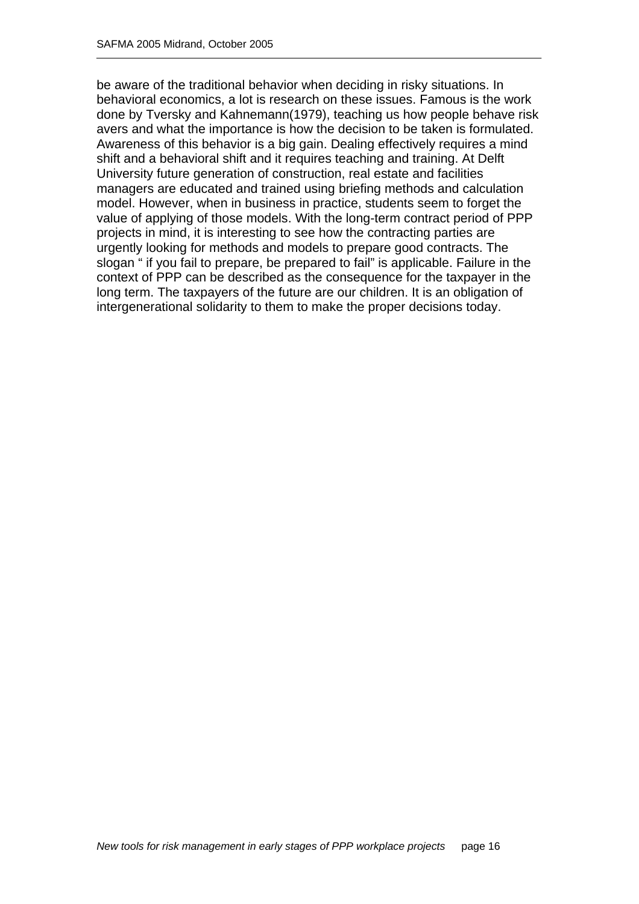be aware of the traditional behavior when deciding in risky situations. In behavioral economics, a lot is research on these issues. Famous is the work done by Tversky and Kahnemann(1979), teaching us how people behave risk avers and what the importance is how the decision to be taken is formulated. Awareness of this behavior is a big gain. Dealing effectively requires a mind shift and a behavioral shift and it requires teaching and training. At Delft University future generation of construction, real estate and facilities managers are educated and trained using briefing methods and calculation model. However, when in business in practice, students seem to forget the value of applying of those models. With the long-term contract period of PPP projects in mind, it is interesting to see how the contracting parties are urgently looking for methods and models to prepare good contracts. The slogan " if you fail to prepare, be prepared to fail" is applicable. Failure in the context of PPP can be described as the consequence for the taxpayer in the long term. The taxpayers of the future are our children. It is an obligation of intergenerational solidarity to them to make the proper decisions today.